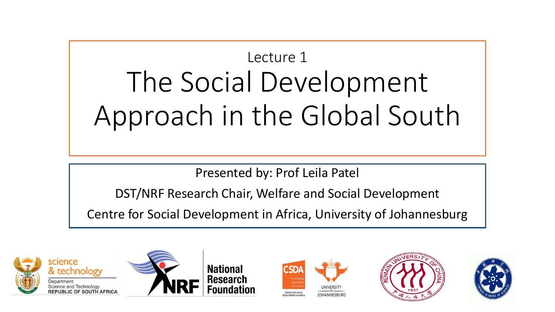# Lecture 1 The Social Development Approach in the Global South

Presented by: Prof Leila Patel

DST/NRF Research Chair, Welfare and Social Development

Centre for Social Development in Africa, University of Johannesburg



& technology Science and Technology







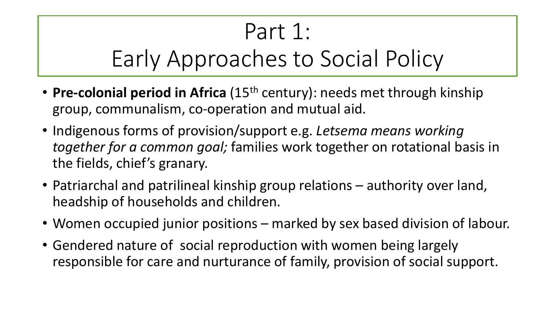# Part 1:

## Early Approaches to Social Policy

- **Pre-colonial period in Africa** (15<sup>th</sup> century): needs met through kinship group, communalism, co-operation and mutual aid.
- Indigenous forms of provision/support e.g. *Letsema means working together for a common goal;* families work together on rotational basis in the fields, chief's granary.
- Patriarchal and patrilineal kinship group relations authority over land, headship of households and children.
- Women occupied junior positions marked by sex based division of labour.
- Gendered nature of social reproduction with women being largely responsible for care and nurturance of family, provision of social support.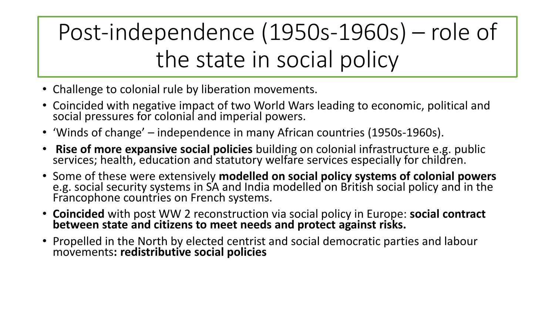Post-independence (1950s-1960s) – role of the state in social policy

- Challenge to colonial rule by liberation movements.
- Coincided with negative impact of two World Wars leading to economic, political and social pressures for colonial and imperial powers.
- 'Winds of change' independence in many African countries (1950s-1960s).
- **Rise of more expansive social policies** building on colonial infrastructure e.g. public services; health, education and statutory welfare services especially for children.
- Some of these were extensively **modelled on social policy systems of colonial powers**  e.g. social security systems in SA and India modelled on British social policy and in the Francophone countries on French systems.
- **Coincided** with post WW 2 reconstruction via social policy in Europe: **social contract between state and citizens to meet needs and protect against risks.**
- Propelled in the North by elected centrist and social democratic parties and labour movements**: redistributive social policies**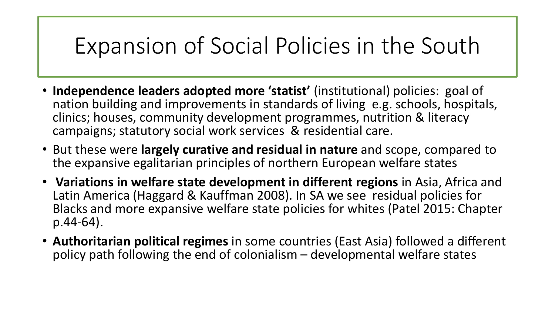## Expansion of Social Policies in the South

- **Independence leaders adopted more 'statist'** (institutional) policies: goal of nation building and improvements in standards of living e.g. schools, hospitals, clinics; houses, community development programmes, nutrition & literacy campaigns; statutory social work services & residential care.
- But these were **largely curative and residual in nature** and scope, compared to the expansive egalitarian principles of northern European welfare states
- **Variations in welfare state development in different regions** in Asia, Africa and Latin America (Haggard & Kauffman 2008). In SA we see residual policies for Blacks and more expansive welfare state policies for whites (Patel 2015: Chapter p.44-64).
- **Authoritarian political regimes** in some countries (East Asia) followed a different policy path following the end of colonialism – developmental welfare states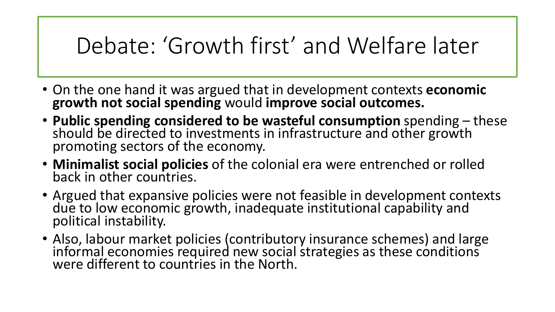## Debate: 'Growth first' and Welfare later

- On the one hand it was argued that in development contexts **economic growth not social spending** would **improve social outcomes.**
- **Public spending considered to be wasteful consumption** spending these should be directed to investments in infrastructure and other growth promoting sectors of the economy.
- **Minimalist social policies** of the colonial era were entrenched or rolled back in other countries.
- Argued that expansive policies were not feasible in development contexts due to low economic growth, inadequate institutional capability and political instability.
- Also, labour market policies (contributory insurance schemes) and large informal economies required new social strategies as these conditions were different to countries in the North.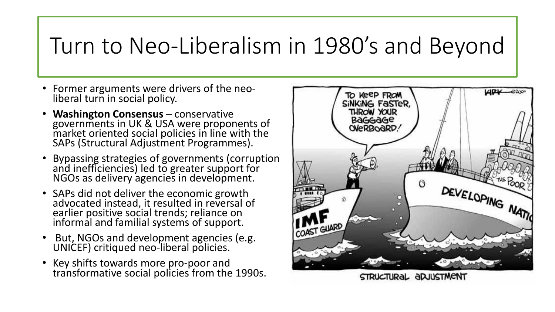## Turn to Neo-Liberalism in 1980's and Beyond

- Former arguments were drivers of the neoliberal turn in social policy.
- **Washington Consensus**  conservative governments in UK & USA were proponents of market oriented social policies in line with the SAPs (Structural Adjustment Programmes).
- Bypassing strategies of governments (corruption and inefficiencies) led to greater support for NGOs as delivery agencies in development.
- SAPs did not deliver the economic growth advocated instead, it resulted in reversal of earlier positive social trends; reliance on informal and familial systems of support.
- But, NGOs and development agencies (e.g. UNICEF) critiqued neo-liberal policies.
- Key shifts towards more pro-poor and transformative social policies from the 1990s.



STRUCTURAL ADJUSTMENT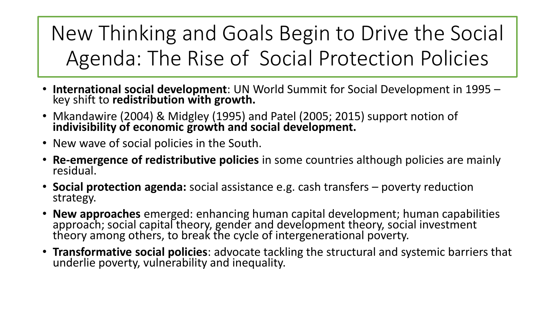New Thinking and Goals Begin to Drive the Social Agenda: The Rise of Social Protection Policies

- **International social development**: UN World Summit for Social Development in 1995 key shift to **redistribution with growth.**
- Mkandawire (2004) & Midgley (1995) and Patel (2005; 2015) support notion of **indivisibility of economic growth and social development.**
- New wave of social policies in the South.
- **Re-emergence of redistributive policies** in some countries although policies are mainly residual.
- **Social protection agenda:** social assistance e.g. cash transfers poverty reduction strategy.
- **New approaches** emerged: enhancing human capital development; human capabilities approach; social capital theory, gender and development theory, social investment theory among others, to break the cycle of intergenerational poverty.
- **Transformative social policies**: advocate tackling the structural and systemic barriers that underlie poverty, vulnerability and inequality.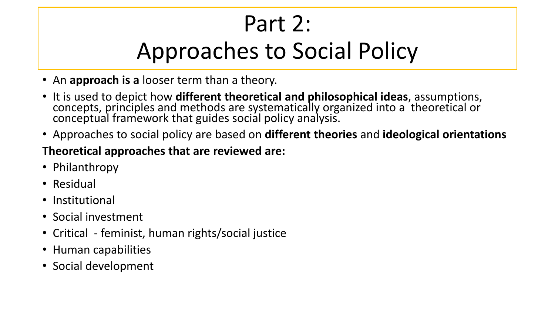# Part 2: Approaches to Social Policy

- An **approach is a** looser term than a theory.
- It is used to depict how **different theoretical and philosophical ideas**, assumptions, concepts, principles and methods are systematically organized into a theoretical or conceptual framework that guides social policy analysis.
- Approaches to social policy are based on **different theories** and **ideological orientations**

#### **Theoretical approaches that are reviewed are:**

- Philanthropy
- Residual
- Institutional
- Social investment
- Critical feminist, human rights/social justice
- Human capabilities
- Social development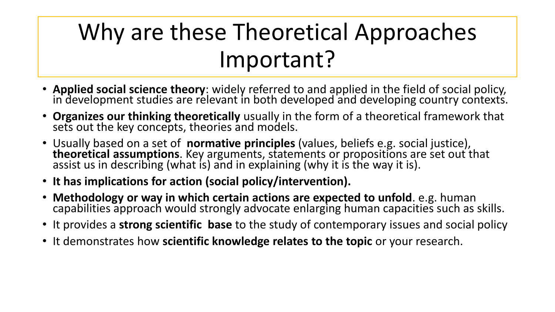# Why are these Theoretical Approaches Important?

- **Applied social science theory**: widely referred to and applied in the field of social policy, in development studies are relevant in both developed and developing country contexts.
- **Organizes our thinking theoretically** usually in the form of a theoretical framework that sets out the key concepts, theories and models.
- Usually based on a set of **normative principles** (values, beliefs e.g. social justice), **theoretical assumptions**. Key arguments, statements or propositions are set out that assist us in describing (what is) and in explaining (why it is the way it is).
- **It has implications for action (social policy/intervention).**
- **Methodology or way in which certain actions are expected to unfold**. e.g. human capabilities approach would strongly advocate enlarging human capacities such as skills.
- It provides a **strong scientific base** to the study of contemporary issues and social policy
- It demonstrates how **scientific knowledge relates to the topic** or your research.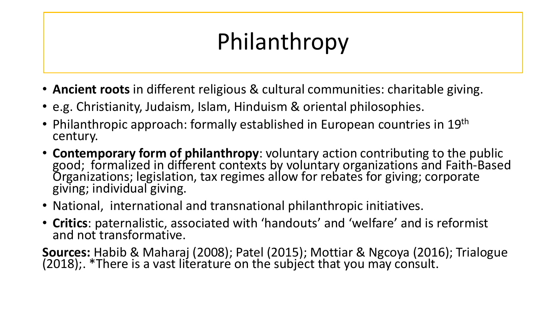# Philanthropy

- **Ancient roots** in different religious & cultural communities: charitable giving.
- e.g. Christianity, Judaism, Islam, Hinduism & oriental philosophies.
- Philanthropic approach: formally established in European countries in 19<sup>th</sup> century.
- **Contemporary form of philanthropy**: voluntary action contributing to the public good; formalized in different contexts by voluntary organizations and Faith-Based Organizations; legislation, tax regimes allow for rebates for giving; corporate giving; individual giving.
- National, international and transnational philanthropic initiatives.
- **Critics**: paternalistic, associated with 'handouts' and 'welfare' and is reformist and not transformative.

**Sources:** Habib & Maharaj (2008); Patel (2015); Mottiar & Ngcoya (2016); Trialogue (2018);. \*There is a vast literature on the subject that you may consult.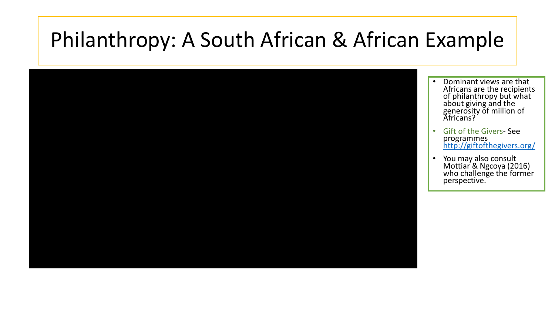## Philanthropy: A South African & African Example

- Dominant views are that Africans are the recipients of philanthropy but what about giving and the generosity of million of Africans?
- Gift of the Givers- See programmes <http://giftofthegivers.org/>
- You may also consult Mottiar & Ngcoya (2016) who challenge the former perspective.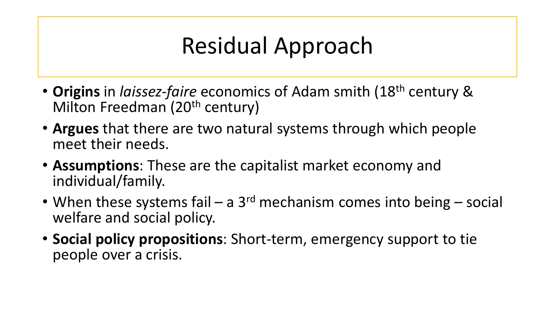# Residual Approach

- **Origins** in *laissez-faire* economics of Adam smith (18th century & Milton Freedman (20<sup>th</sup> century)
- **Argues** that there are two natural systems through which people meet their needs.
- **Assumptions**: These are the capitalist market economy and individual/family.
- When these systems fail a 3<sup>rd</sup> mechanism comes into being social welfare and social policy.
- **Social policy propositions**: Short-term, emergency support to tie people over a crisis.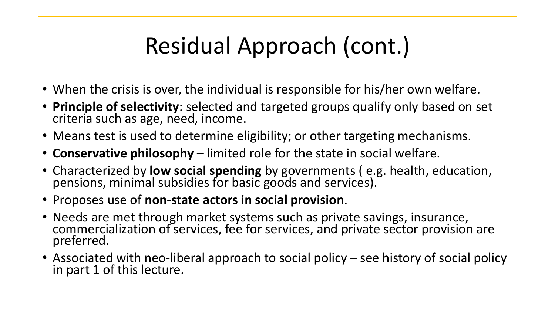# Residual Approach (cont.)

- When the crisis is over, the individual is responsible for his/her own welfare.
- **Principle of selectivity**: selected and targeted groups qualify only based on set criteria such as age, need, income.
- Means test is used to determine eligibility; or other targeting mechanisms.
- **Conservative philosophy**  limited role for the state in social welfare.
- Characterized by **low social spending** by governments ( e.g. health, education, pensions, minimal subsidies for basic goods and services).
- Proposes use of **non-state actors in social provision**.
- Needs are met through market systems such as private savings, insurance, commercialization of services, fee for services, and private sector provision are preferred.
- Associated with neo-liberal approach to social policy see history of social policy in part 1 of this lecture.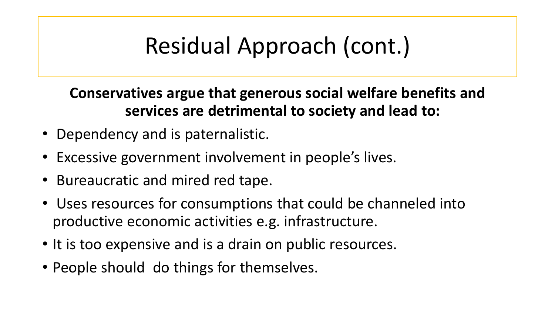# Residual Approach (cont.)

**Conservatives argue that generous social welfare benefits and services are detrimental to society and lead to:** 

- Dependency and is paternalistic.
- Excessive government involvement in people's lives.
- Bureaucratic and mired red tape.
- Uses resources for consumptions that could be channeled into productive economic activities e.g. infrastructure.
- It is too expensive and is a drain on public resources.
- People should do things for themselves.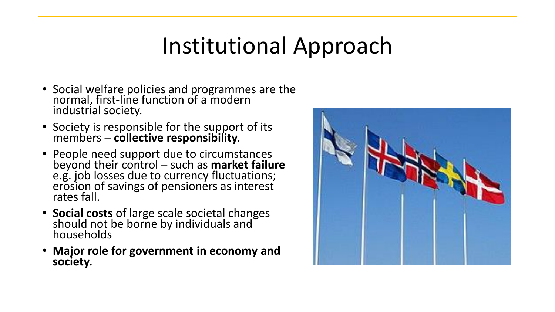## Institutional Approach

- Social welfare policies and programmes are the normal, first-line function of a modern industrial society.
- Society is responsible for the support of its members – **collective responsibility.**
- People need support due to circumstances beyond their control – such as **market failure**  e.g. job losses due to currency fluctuations; erosion of savings of pensioners as interest rates fall.
- **Social costs** of large scale societal changes should not be borne by individuals and households
- **Major role for government in economy and society.**

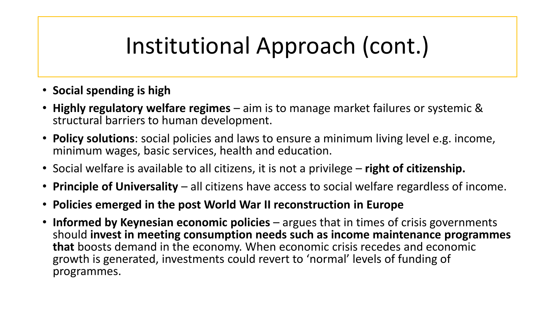# Institutional Approach (cont.)

- **Social spending is high**
- **Highly regulatory welfare regimes**  aim is to manage market failures or systemic & structural barriers to human development.
- **Policy solutions**: social policies and laws to ensure a minimum living level e.g. income, minimum wages, basic services, health and education.
- Social welfare is available to all citizens, it is not a privilege **right of citizenship.**
- **Principle of Universality**  all citizens have access to social welfare regardless of income.
- **Policies emerged in the post World War II reconstruction in Europe**
- **Informed by Keynesian economic policies**  argues that in times of crisis governments should **invest in meeting consumption needs such as income maintenance programmes that** boosts demand in the economy. When economic crisis recedes and economic growth is generated, investments could revert to 'normal' levels of funding of programmes.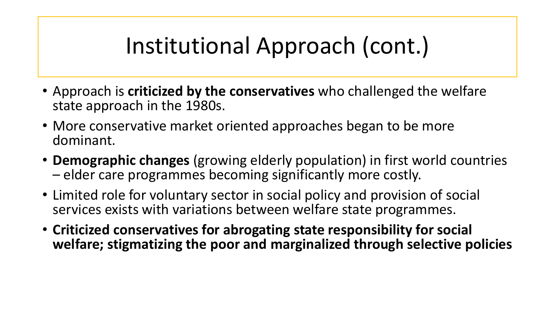# Institutional Approach (cont.)

- Approach is **criticized by the conservatives** who challenged the welfare state approach in the 1980s.
- More conservative market oriented approaches began to be more dominant.
- **Demographic changes** (growing elderly population) in first world countries – elder care programmes becoming significantly more costly.
- Limited role for voluntary sector in social policy and provision of social services exists with variations between welfare state programmes.
- **Criticized conservatives for abrogating state responsibility for social welfare; stigmatizing the poor and marginalized through selective policies**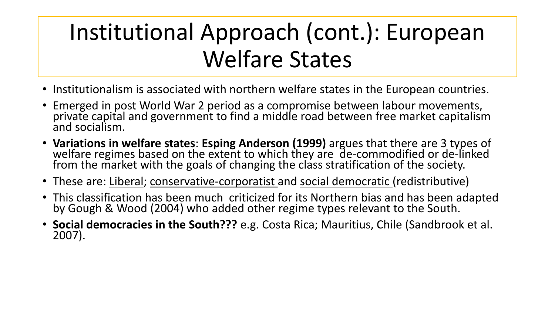# Institutional Approach (cont.): European Welfare States

- Institutionalism is associated with northern welfare states in the European countries.
- Emerged in post World War 2 period as a compromise between labour movements, private capital and government to find a middle road between free market capitalism and socialism.
- **Variations in welfare states**: **Esping Anderson (1999)** argues that there are 3 types of welfare regimes based on the extent to which they are de-commodified or de-linked from the market with the goals of changing the class stratification of the society.
- These are: Liberal; conservative-corporatist and social democratic (redistributive)
- This classification has been much criticized for its Northern bias and has been adapted by Gough & Wood (2004) who added other regime types relevant to the South.
- **Social democracies in the South???** e.g. Costa Rica; Mauritius, Chile (Sandbrook et al. 2007).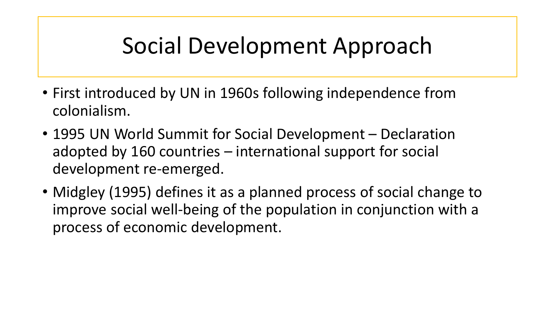## Social Development Approach

- First introduced by UN in 1960s following independence from colonialism.
- 1995 UN World Summit for Social Development Declaration adopted by 160 countries – international support for social development re-emerged.
- Midgley (1995) defines it as a planned process of social change to improve social well-being of the population in conjunction with a process of economic development.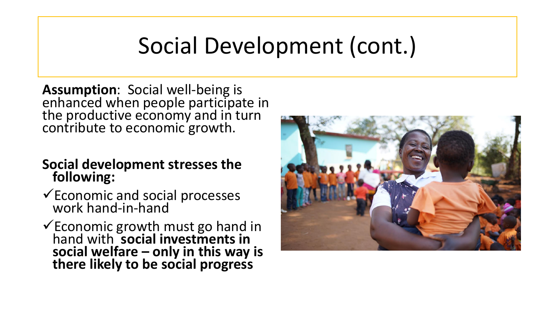**Assumption**: Social well-being is enhanced when people participate in the productive economy and in turn contribute to economic growth.

#### **Social development stresses the following:**

- $\checkmark$  Economic and social processes work hand-in-hand
- ✓Economic growth must go hand in hand with **social investments in social welfare – only in this way is there likely to be social progress**

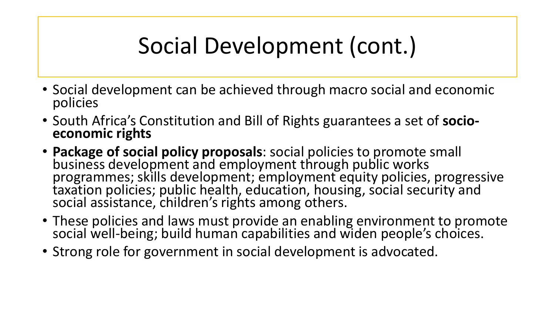- Social development can be achieved through macro social and economic policies
- South Africa's Constitution and Bill of Rights guarantees a set of **socioeconomic rights**
- **Package of social policy proposals**: social policies to promote small business development and employment through public works programmes; skills development; employment equity policies, progressive taxation policies; public health, education, housing, social security and social assistance, children's rights among others.
- These policies and laws must provide an enabling environment to promote social well-being; build human capabilities and widen people's choices.
- Strong role for government in social development is advocated.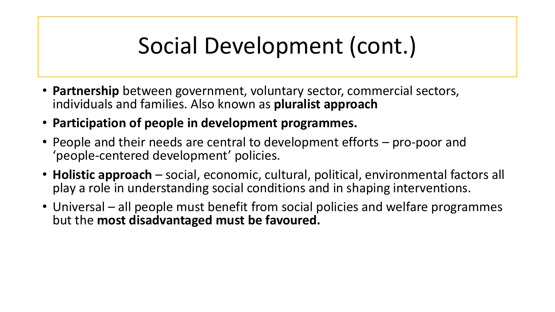- **Partnership** between government, voluntary sector, commercial sectors, individuals and families. Also known as **pluralist approach**
- **Participation of people in development programmes.**
- People and their needs are central to development efforts pro-poor and 'people-centered development' policies.
- **Holistic approach**  social, economic, cultural, political, environmental factors all play a role in understanding social conditions and in shaping interventions.
- Universal all people must benefit from social policies and welfare programmes but the **most disadvantaged must be favoured.**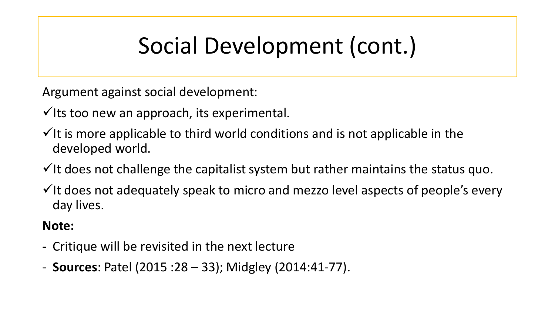Argument against social development:

 $\checkmark$  its too new an approach, its experimental.

- $\checkmark$  It is more applicable to third world conditions and is not applicable in the developed world.
- $\checkmark$  It does not challenge the capitalist system but rather maintains the status quo.
- $\checkmark$  It does not adequately speak to micro and mezzo level aspects of people's every day lives.

**Note:**

- Critique will be revisited in the next lecture
- **Sources**: Patel (2015 :28 33); Midgley (2014:41-77).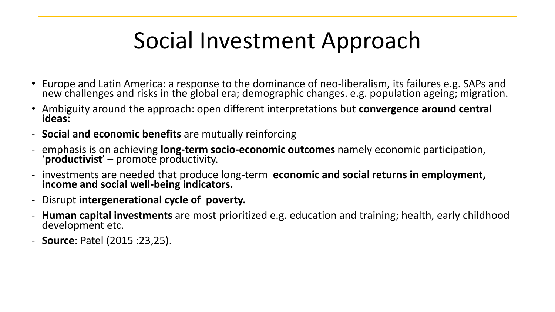# Social Investment Approach

- Europe and Latin America: a response to the dominance of neo-liberalism, its failures e.g. SAPs and new challenges and risks in the global era; demographic changes. e.g. population ageing; migration.
- Ambiguity around the approach: open different interpretations but **convergence around central ideas:**
- **Social and economic benefits** are mutually reinforcing
- emphasis is on achieving **long-term socio-economic outcomes** namely economic participation, '**productivist**' – promote productivity.
- investments are needed that produce long-term **economic and social returns in employment, income and social well-being indicators.**
- Disrupt **intergenerational cycle of poverty.**
- **Human capital investments** are most prioritized e.g. education and training; health, early childhood development etc.
- **Source**: Patel (2015 :23,25).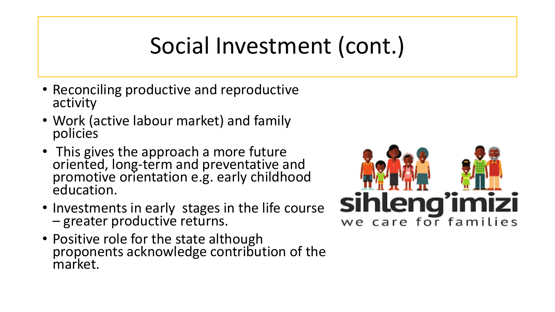# Social Investment (cont.)

- Reconciling productive and reproductive activity
- Work (active labour market) and family policies
- This gives the approach a more future oriented, long-term and preventative and promotive orientation e.g. early childhood education.
- Investments in early stages in the life course – greater productive returns.
- Positive role for the state although proponents acknowledge contribution of the market.

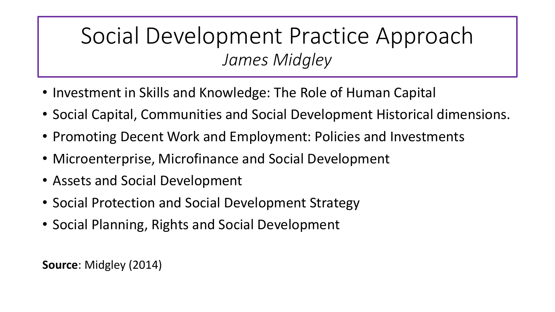#### Social Development Practice Approach *James Midgley*

- Investment in Skills and Knowledge: The Role of Human Capital
- Social Capital, Communities and Social Development Historical dimensions.
- Promoting Decent Work and Employment: Policies and Investments
- Microenterprise, Microfinance and Social Development
- Assets and Social Development
- Social Protection and Social Development Strategy
- Social Planning, Rights and Social Development

**Source**: Midgley (2014)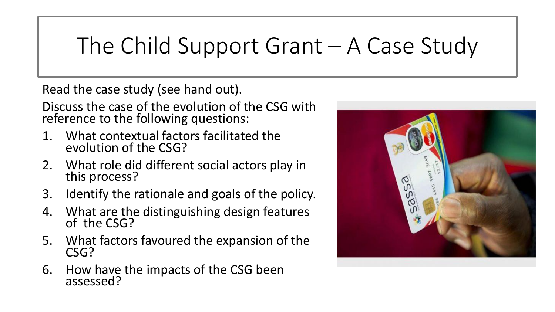# The Child Support Grant – A Case Study

Read the case study (see hand out).

Discuss the case of the evolution of the CSG with reference to the following questions:

- 1. What contextual factors facilitated the evolution of the CSG?
- 2. What role did different social actors play in this process?
- 3. Identify the rationale and goals of the policy.
- 4. What are the distinguishing design features of the CSG?
- 5. What factors favoured the expansion of the CSG?
- 6. How have the impacts of the CSG been assessed?

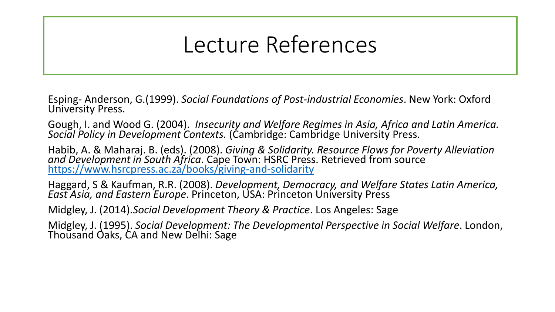## Lecture References

Esping- Anderson, G.(1999). *Social Foundations of Post-industrial Economies*. New York: Oxford University Press.

Gough, I. and Wood G. (2004). *Insecurity and Welfare Regimes in Asia, Africa and Latin America. Social Policy in Development Contexts.* (Cambridge: Cambridge University Press.

Habib, A. & Maharaj. B. (eds). (2008). *Giving & Solidarity. Resource Flows for Poverty Alleviation and Development in South Africa*. Cape Town: HSRC Press. Retrieved from source <https://www.hsrcpress.ac.za/books/giving-and-solidarity>

Haggard, S & Kaufman, R.R. (2008). *Development, Democracy, and Welfare States Latin America, East Asia, and Eastern Europe*. Princeton, USA: Princeton University Press

Midgley, J. (2014).*Social Development Theory & Practice*. Los Angeles: Sage

Midgley, J. (1995). *Social Development: The Developmental Perspective in Social Welfare*. London, Thousand Oaks, CA and New Delhi: Sage